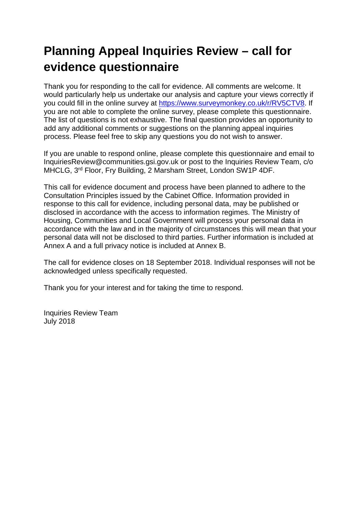# **Planning Appeal Inquiries Review – call for evidence questionnaire**

Thank you for responding to the call for evidence. All comments are welcome. It would particularly help us undertake our analysis and capture your views correctly if you could fill in the online survey at [https://www.surveymonkey.co.uk/r/RV5CTV8.](https://www.surveymonkey.co.uk/r/RV5CTV8) If you are not able to complete the online survey, please complete this questionnaire. The list of questions is not exhaustive. The final question provides an opportunity to add any additional comments or suggestions on the planning appeal inquiries process. Please feel free to skip any questions you do not wish to answer.

If you are unable to respond online, please complete this questionnaire and email to InquiriesReview@communities.gsi.gov.uk or post to the Inquiries Review Team, c/o MHCLG, 3rd Floor, Fry Building, 2 Marsham Street, London SW1P 4DF.

This call for evidence document and process have been planned to adhere to the Consultation Principles issued by the Cabinet Office. Information provided in response to this call for evidence, including personal data, may be published or disclosed in accordance with the access to information regimes. The Ministry of Housing, Communities and Local Government will process your personal data in accordance with the law and in the majority of circumstances this will mean that your personal data will not be disclosed to third parties. Further information is included at Annex A and a full privacy notice is included at Annex B.

The call for evidence closes on 18 September 2018. Individual responses will not be acknowledged unless specifically requested.

Thank you for your interest and for taking the time to respond.

Inquiries Review Team July 2018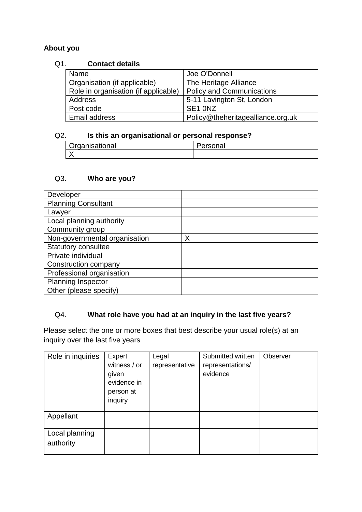#### **About you**

#### Q1. **Contact details**

| Name                                 | Joe O'Donnell                     |
|--------------------------------------|-----------------------------------|
| Organisation (if applicable)         | The Heritage Alliance             |
| Role in organisation (if applicable) | <b>Policy and Communications</b>  |
| Address                              | 5-11 Lavington St, London         |
| Post code                            | SE <sub>1</sub> ONZ               |
| Email address                        | Policy@theheritagealliance.org.uk |

#### Q2. **Is this an organisational or personal response?**

| Organisational | 'ersonal |
|----------------|----------|
|                |          |

#### Q3. **Who are you?**

| Developer                     |   |
|-------------------------------|---|
| <b>Planning Consultant</b>    |   |
| Lawyer                        |   |
| Local planning authority      |   |
| Community group               |   |
| Non-governmental organisation | Χ |
| <b>Statutory consultee</b>    |   |
| Private individual            |   |
| Construction company          |   |
| Professional organisation     |   |
| <b>Planning Inspector</b>     |   |
| Other (please specify)        |   |

#### Q4. **What role have you had at an inquiry in the last five years?**

Please select the one or more boxes that best describe your usual role(s) at an inquiry over the last five years

| Role in inquiries           | Expert<br>witness / or<br>given<br>evidence in<br>person at<br>inquiry | Legal<br>representative | Submitted written<br>representations/<br>evidence | Observer |
|-----------------------------|------------------------------------------------------------------------|-------------------------|---------------------------------------------------|----------|
| Appellant                   |                                                                        |                         |                                                   |          |
| Local planning<br>authority |                                                                        |                         |                                                   |          |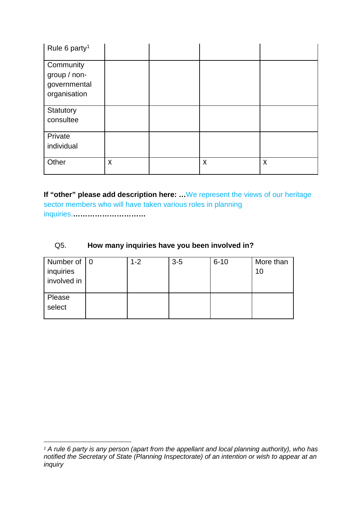| Rule 6 party <sup>1</sup>                                 |   |   |   |
|-----------------------------------------------------------|---|---|---|
| Community<br>group / non-<br>governmental<br>organisation |   |   |   |
| Statutory<br>consultee                                    |   |   |   |
| Private<br>individual                                     |   |   |   |
| Other                                                     | Χ | X | X |

**If "other" please add description here: …**We represent the views of our heritage sector members who will have taken various roles in planning inquiries.**…………………………**

#### Q5. **How many inquiries have you been involved in?**

| Number of   0<br>inquiries | $1 - 2$ | $3-5$ | $6 - 10$ | More than<br>10 |
|----------------------------|---------|-------|----------|-----------------|
| involved in                |         |       |          |                 |
| Please<br>select           |         |       |          |                 |

<span id="page-2-0"></span><sup>&</sup>lt;u>.</u> *<sup>1</sup> A rule 6 party is any person (apart from the appellant and local planning authority), who has notified the Secretary of State (Planning Inspectorate) of an intention or wish to appear at an inquiry*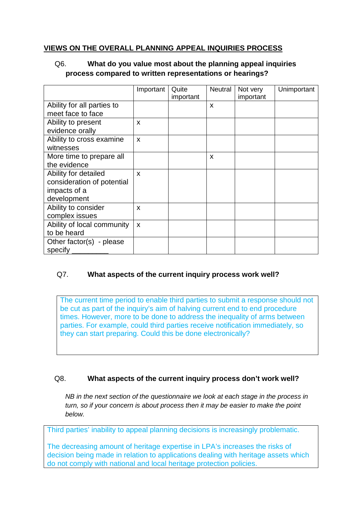#### **VIEWS ON THE OVERALL PLANNING APPEAL INQUIRIES PROCESS**

#### Q6. **What do you value most about the planning appeal inquiries process compared to written representations or hearings?**

|                            | Important    | Quite<br>important | Neutral                   | Not very<br>important | Unimportant |
|----------------------------|--------------|--------------------|---------------------------|-----------------------|-------------|
| Ability for all parties to |              |                    | $\boldsymbol{\mathsf{x}}$ |                       |             |
| meet face to face          |              |                    |                           |                       |             |
| Ability to present         | X            |                    |                           |                       |             |
| evidence orally            |              |                    |                           |                       |             |
| Ability to cross examine   | $\mathsf{x}$ |                    |                           |                       |             |
| witnesses                  |              |                    |                           |                       |             |
| More time to prepare all   |              |                    | X                         |                       |             |
| the evidence               |              |                    |                           |                       |             |
| Ability for detailed       | X            |                    |                           |                       |             |
| consideration of potential |              |                    |                           |                       |             |
| impacts of a               |              |                    |                           |                       |             |
| development                |              |                    |                           |                       |             |
| Ability to consider        | X            |                    |                           |                       |             |
| complex issues             |              |                    |                           |                       |             |
| Ability of local community | X            |                    |                           |                       |             |
| to be heard                |              |                    |                           |                       |             |
| Other factor(s) - please   |              |                    |                           |                       |             |
| specify                    |              |                    |                           |                       |             |

#### Q7. **What aspects of the current inquiry process work well?**

The current time period to enable third parties to submit a response should not be cut as part of the inquiry's aim of halving current end to end procedure times. However, more to be done to address the inequality of arms between parties. For example, could third parties receive notification immediately, so they can start preparing. Could this be done electronically?

#### Q8. **What aspects of the current inquiry process don't work well?**

*NB in the next section of the questionnaire we look at each stage in the process in turn, so if your concern is about process then it may be easier to make the point below.*

Third parties' inability to appeal planning decisions is increasingly problematic.

The decreasing amount of heritage expertise in LPA's increases the risks of decision being made in relation to applications dealing with heritage assets which do not comply with national and local heritage protection policies.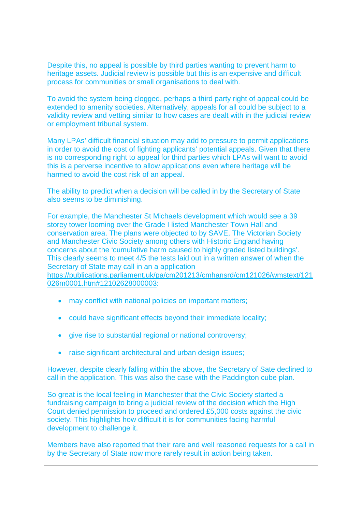Despite this, no appeal is possible by third parties wanting to prevent harm to heritage assets. Judicial review is possible but this is an expensive and difficult process for communities or small organisations to deal with.

To avoid the system being clogged, perhaps a third party right of appeal could be extended to amenity societies. Alternatively, appeals for all could be subject to a validity review and vetting similar to how cases are dealt with in the judicial review or employment tribunal system.

Many LPAs' difficult financial situation may add to pressure to permit applications in order to avoid the cost of fighting applicants' potential appeals. Given that there is no corresponding right to appeal for third parties which LPAs will want to avoid this is a perverse incentive to allow applications even where heritage will be harmed to avoid the cost risk of an appeal.

The ability to predict when a decision will be called in by the Secretary of State also seems to be diminishing.

For example, the Manchester St Michaels development which would see a 39 storey tower looming over the Grade I listed Manchester Town Hall and conservation area. The plans were objected to by SAVE, The Victorian Society and Manchester Civic Society among others with Historic England having concerns about the 'cumulative harm caused to highly graded listed buildings'. This clearly seems to meet 4/5 the tests laid out in a written answer of when the Secretary of State may call in an a application

[https://publications.parliament.uk/pa/cm201213/cmhansrd/cm121026/wmstext/121](https://publications.parliament.uk/pa/cm201213/cmhansrd/cm121026/wmstext/121026m0001.htm#12102628000003) [026m0001.htm#12102628000003:](https://publications.parliament.uk/pa/cm201213/cmhansrd/cm121026/wmstext/121026m0001.htm#12102628000003)

- may conflict with national policies on important matters;
- could have significant effects beyond their immediate locality;
- give rise to substantial regional or national controversy;
- raise significant architectural and urban design issues;

However, despite clearly falling within the above, the Secretary of Sate declined to call in the application. This was also the case with the Paddington cube plan.

So great is the local feeling in Manchester that the Civic Society started a fundraising campaign to bring a judicial review of the decision which the High Court denied permission to proceed and ordered £5,000 costs against the civic society. This highlights how difficult it is for communities facing harmful development to challenge it.

Members have also reported that their rare and well reasoned requests for a call in by the Secretary of State now more rarely result in action being taken.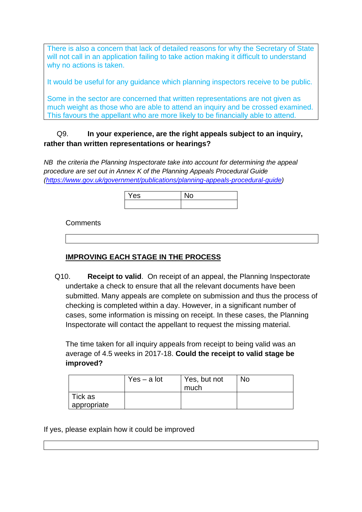There is also a concern that lack of detailed reasons for why the Secretary of State will not call in an application failing to take action making it difficult to understand why no actions is taken.

It would be useful for any guidance which planning inspectors receive to be public.

Some in the sector are concerned that written representations are not given as much weight as those who are able to attend an inquiry and be crossed examined. This favours the appellant who are more likely to be financially able to attend.

#### Q9. **In your experience, are the right appeals subject to an inquiry, rather than written representations or hearings?**

*NB the criteria the Planning Inspectorate take into account for determining the appeal procedure are set out in Annex K of the Planning Appeals Procedural Guide [\(https://www.gov.uk/government/publications/planning-appeals-procedural-guide\)](https://www.gov.uk/government/publications/planning-appeals-procedural-guide)*

| $\overline{\phantom{a}}$<br>Yes |  |
|---------------------------------|--|
|                                 |  |

**Comments** 

#### **IMPROVING EACH STAGE IN THE PROCESS**

Q10. **Receipt to valid**. On receipt of an appeal, the Planning Inspectorate undertake a check to ensure that all the relevant documents have been submitted. Many appeals are complete on submission and thus the process of checking is completed within a day. However, in a significant number of cases, some information is missing on receipt. In these cases, the Planning Inspectorate will contact the appellant to request the missing material.

The time taken for all inquiry appeals from receipt to being valid was an average of 4.5 weeks in 2017-18. **Could the receipt to valid stage be improved?**

|             | $Yes - a lot$ | Yes, but not | No. |
|-------------|---------------|--------------|-----|
|             |               | much         |     |
| Tick as     |               |              |     |
| appropriate |               |              |     |

If yes, please explain how it could be improved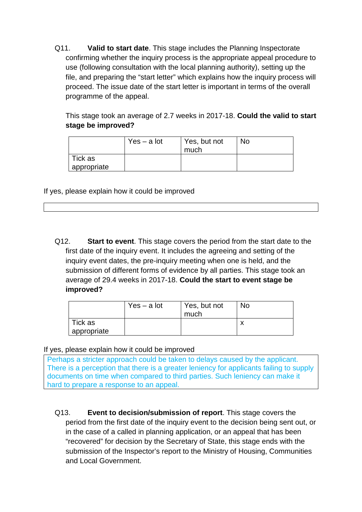Q11. **Valid to start date**. This stage includes the Planning Inspectorate confirming whether the inquiry process is the appropriate appeal procedure to use (following consultation with the local planning authority), setting up the file, and preparing the "start letter" which explains how the inquiry process will proceed. The issue date of the start letter is important in terms of the overall programme of the appeal.

This stage took an average of 2.7 weeks in 2017-18. **Could the valid to start stage be improved?**

|             | $Yes - a lot$ | Yes, but not<br>much | <b>No</b> |
|-------------|---------------|----------------------|-----------|
| Tick as     |               |                      |           |
| appropriate |               |                      |           |

If yes, please explain how it could be improved

Q12. **Start to event**. This stage covers the period from the start date to the first date of the inquiry event. It includes the agreeing and setting of the inquiry event dates, the pre-inquiry meeting when one is held, and the submission of different forms of evidence by all parties. This stage took an average of 29.4 weeks in 2017-18. **Could the start to event stage be improved?**

|             | $Yes - a lot$ | Yes, but not<br>much | No. |
|-------------|---------------|----------------------|-----|
| Tick as     |               |                      |     |
| appropriate |               |                      |     |

If yes, please explain how it could be improved

Perhaps a stricter approach could be taken to delays caused by the applicant. There is a perception that there is a greater leniency for applicants failing to supply documents on time when compared to third parties. Such leniency can make it hard to prepare a response to an appeal.

Q13. **Event to decision/submission of report**. This stage covers the period from the first date of the inquiry event to the decision being sent out, or in the case of a called in planning application, or an appeal that has been "recovered" for decision by the Secretary of State, this stage ends with the submission of the Inspector's report to the Ministry of Housing, Communities and Local Government.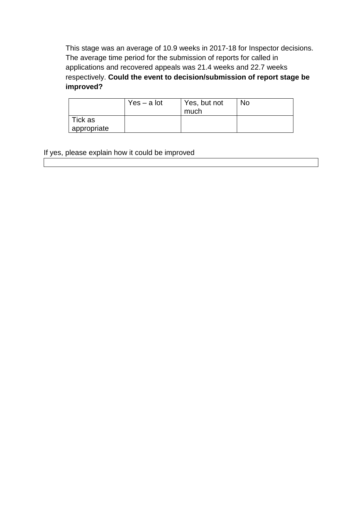This stage was an average of 10.9 weeks in 2017-18 for Inspector decisions. The average time period for the submission of reports for called in applications and recovered appeals was 21.4 weeks and 22.7 weeks respectively. **Could the event to decision/submission of report stage be improved?**

|             | $Yes - a lot$ | Yes, but not<br>much | <b>No</b> |
|-------------|---------------|----------------------|-----------|
| Tick as     |               |                      |           |
| appropriate |               |                      |           |

If yes, please explain how it could be improved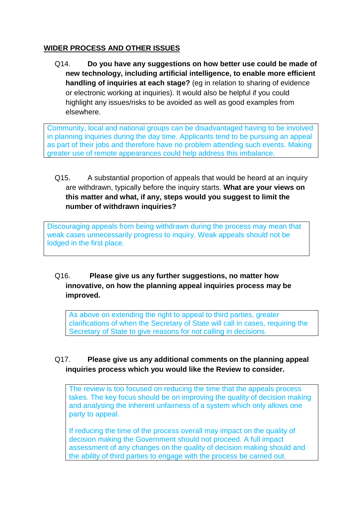#### **WIDER PROCESS AND OTHER ISSUES**

Q14. **Do you have any suggestions on how better use could be made of new technology, including artificial intelligence, to enable more efficient handling of inquiries at each stage?** (eg in relation to sharing of evidence or electronic working at inquiries). It would also be helpful if you could highlight any issues/risks to be avoided as well as good examples from elsewhere.

Community, local and national groups can be disadvantaged having to be involved in planning inquiries during the day time. Applicants tend to be pursuing an appeal as part of their jobs and therefore have no problem attending such events. Making greater use of remote appearances could help address this imbalance.

Q15. A substantial proportion of appeals that would be heard at an inquiry are withdrawn, typically before the inquiry starts. **What are your views on this matter and what, if any, steps would you suggest to limit the number of withdrawn inquiries?**

Discouraging appeals from being withdrawn during the process may mean that weak cases unnecessarily progress to inquiry. Weak appeals should not be lodged in the first place.

#### Q16. **Please give us any further suggestions, no matter how innovative, on how the planning appeal inquiries process may be improved.**

As above on extending the right to appeal to third parties, greater clarifications of when the Secretary of State will call in cases, requiring the Secretary of State to give reasons for not calling in decisions.

#### Q17. **Please give us any additional comments on the planning appeal inquiries process which you would like the Review to consider.**

The review is too focused on reducing the time that the appeals process takes. The key focus should be on improving the quality of decision making and analysing the inherent unfairness of a system which only allows one party to appeal.

If reducing the time of the process overall may impact on the quality of decision making the Government should not proceed. A full impact assessment of any changes on the quality of decision making should and the ability of third parties to engage with the process be carried out.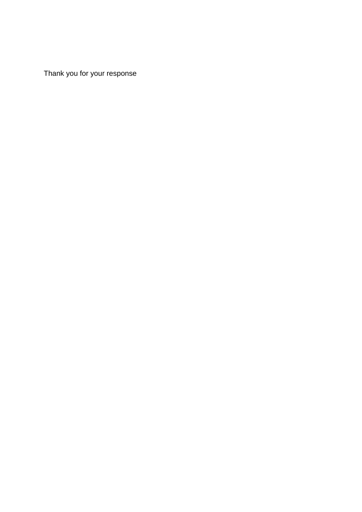Thank you for your response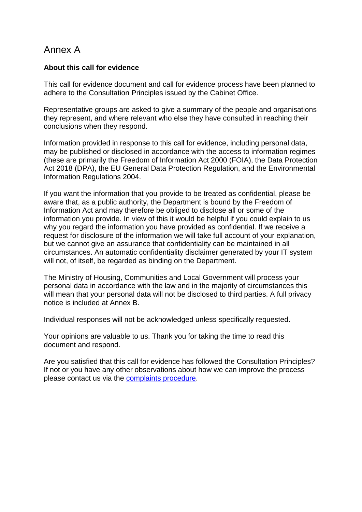### Annex A

#### **About this call for evidence**

This call for evidence document and call for evidence process have been planned to adhere to the Consultation Principles issued by the Cabinet Office.

Representative groups are asked to give a summary of the people and organisations they represent, and where relevant who else they have consulted in reaching their conclusions when they respond.

Information provided in response to this call for evidence, including personal data, may be published or disclosed in accordance with the access to information regimes (these are primarily the Freedom of Information Act 2000 (FOIA), the Data Protection Act 2018 (DPA), the EU General Data Protection Regulation, and the Environmental Information Regulations 2004.

If you want the information that you provide to be treated as confidential, please be aware that, as a public authority, the Department is bound by the Freedom of Information Act and may therefore be obliged to disclose all or some of the information you provide. In view of this it would be helpful if you could explain to us why you regard the information you have provided as confidential. If we receive a request for disclosure of the information we will take full account of your explanation, but we cannot give an assurance that confidentiality can be maintained in all circumstances. An automatic confidentiality disclaimer generated by your IT system will not, of itself, be regarded as binding on the Department.

The Ministry of Housing, Communities and Local Government will process your personal data in accordance with the law and in the majority of circumstances this will mean that your personal data will not be disclosed to third parties. A full privacy notice is included at Annex B.

Individual responses will not be acknowledged unless specifically requested.

Your opinions are valuable to us. Thank you for taking the time to read this document and respond.

Are you satisfied that this call for evidence has followed the Consultation Principles? If not or you have any other observations about how we can improve the process please contact us via the [complaints procedure.](https://www.gov.uk/government/organisations/department-for-communities-and-local-government/about/complaints-procedure)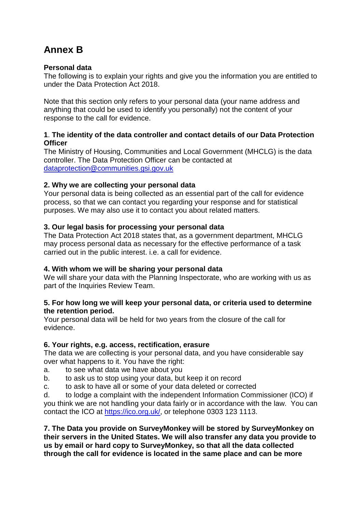## **Annex B**

#### **Personal data**

The following is to explain your rights and give you the information you are entitled to under the Data Protection Act 2018.

Note that this section only refers to your personal data (your name address and anything that could be used to identify you personally) not the content of your response to the call for evidence.

#### **1**. **The identity of the data controller and contact details of our Data Protection Officer**

The Ministry of Housing, Communities and Local Government (MHCLG) is the data controller. The Data Protection Officer can be contacted at [dataprotection@communities.gsi.gov.uk](mailto:dataprotection@communities.gsi.gov.uk)

#### **2. Why we are collecting your personal data**

Your personal data is being collected as an essential part of the call for evidence process, so that we can contact you regarding your response and for statistical purposes. We may also use it to contact you about related matters.

#### **3. Our legal basis for processing your personal data**

The Data Protection Act 2018 states that, as a government department, MHCLG may process personal data as necessary for the effective performance of a task carried out in the public interest. i.e. a call for evidence.

#### **4. With whom we will be sharing your personal data**

We will share your data with the Planning Inspectorate, who are working with us as part of the Inquiries Review Team.

#### **5. For how long we will keep your personal data, or criteria used to determine the retention period.**

Your personal data will be held for two years from the closure of the call for evidence.

#### **6. Your rights, e.g. access, rectification, erasure**

The data we are collecting is your personal data, and you have considerable say over what happens to it. You have the right:

- a. to see what data we have about you
- b. to ask us to stop using your data, but keep it on record
- c. to ask to have all or some of your data deleted or corrected

d. to lodge a complaint with the independent Information Commissioner (ICO) if you think we are not handling your data fairly or in accordance with the law. You can contact the ICO at [https://ico.org.uk/,](https://ico.org.uk/) or telephone 0303 123 1113.

**7. The Data you provide on SurveyMonkey will be stored by SurveyMonkey on their servers in the United States. We will also transfer any data you provide to us by email or hard copy to SurveyMonkey, so that all the data collected through the call for evidence is located in the same place and can be more**